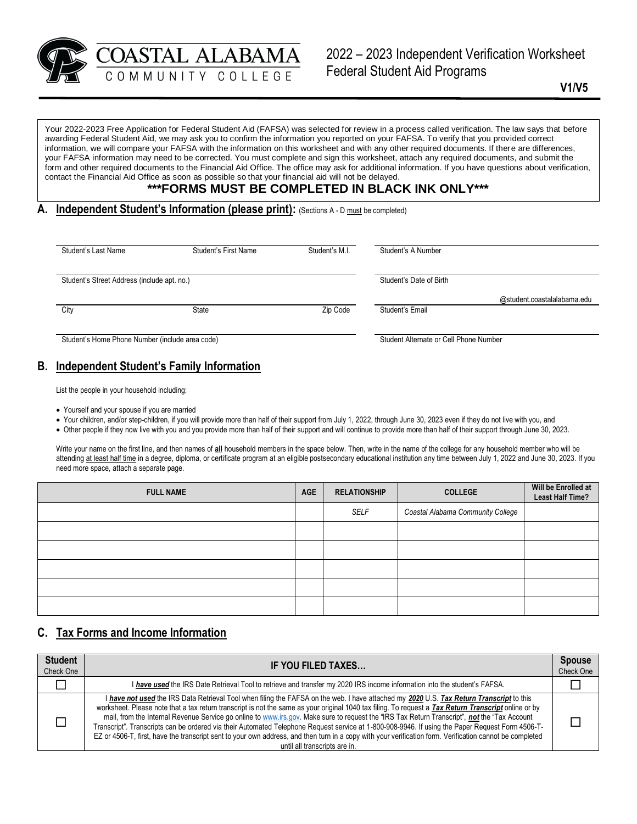

2022 – 2023 Independent Verification Worksheet Federal Student Aid Programs

**V1/V5**

Your 2022-2023 Free Application for Federal Student Aid (FAFSA) was selected for review in a process called verification. The law says that before awarding Federal Student Aid, we may ask you to confirm the information you reported on your FAFSA. To verify that you provided correct information, we will compare your FAFSA with the information on this worksheet and with any other required documents. If there are differences, your FAFSA information may need to be corrected. You must complete and sign this worksheet, attach any required documents, and submit the form and other required documents to the Financial Aid Office. The office may ask for additional information. If you have questions about verification, contact the Financial Aid Office as soon as possible so that your financial aid will not be delayed.

# **\*\*\*FORMS MUST BE COMPLETED IN BLACK INK ONLY\*\*\***

**A. Independent Student's Information (please print):** (Sections A - D must be completed)

| Student's Last Name                             | <b>Student's First Name</b> | Student's M.I. | Student's A Number                             |
|-------------------------------------------------|-----------------------------|----------------|------------------------------------------------|
| Student's Street Address (include apt. no.)     |                             |                | Student's Date of Birth                        |
| City                                            | State                       | Zip Code       | @student.coastalalabama.edu<br>Student's Email |
| Student's Home Phone Number (include area code) |                             |                | Student Alternate or Cell Phone Number         |

## **B. Independent Student's Family Information**

List the people in your household including:

- Yourself and your spouse if you are married
- Your children, and/or step-children, if you will provide more than half of their support from July 1, 2022, through June 30, 2023 even if they do not live with you, and
- Other people if they now live with you and you provide more than half of their support and will continue to provide more than half of their support through June 30, 2023.

Write your name on the first line, and then names of **all** household members in the space below. Then, write in the name of the college for any household member who will be attending at least half time in a degree, diploma, or certificate program at an eligible postsecondary educational institution any time between July 1, 2022 and June 30, 2023. If you need more space, attach a separate page.

| <b>FULL NAME</b> | <b>AGE</b> | <b>RELATIONSHIP</b> | <b>COLLEGE</b>                    | Will be Enrolled at<br><b>Least Half Time?</b> |  |
|------------------|------------|---------------------|-----------------------------------|------------------------------------------------|--|
|                  |            | <b>SELF</b>         | Coastal Alabama Community College |                                                |  |
|                  |            |                     |                                   |                                                |  |
|                  |            |                     |                                   |                                                |  |
|                  |            |                     |                                   |                                                |  |
|                  |            |                     |                                   |                                                |  |
|                  |            |                     |                                   |                                                |  |

## **C. Tax Forms and Income Information**

| <b>Student</b><br>Check One | IF YOU FILED TAXES                                                                                                                                                                                                                                                                                                                                                                                                                                                                                                                                                                                                                                                                                                                                                                                 | <b>Spouse</b><br>Check One |
|-----------------------------|----------------------------------------------------------------------------------------------------------------------------------------------------------------------------------------------------------------------------------------------------------------------------------------------------------------------------------------------------------------------------------------------------------------------------------------------------------------------------------------------------------------------------------------------------------------------------------------------------------------------------------------------------------------------------------------------------------------------------------------------------------------------------------------------------|----------------------------|
|                             | I have used the IRS Date Retrieval Tool to retrieve and transfer my 2020 IRS income information into the student's FAFSA.                                                                                                                                                                                                                                                                                                                                                                                                                                                                                                                                                                                                                                                                          |                            |
|                             | I have not used the IRS Data Retrieval Tool when filing the FAFSA on the web. I have attached my 2020 U.S. Tax Return Transcript to this<br>worksheet. Please note that a tax return transcript is not the same as your original 1040 tax filing. To request a Tax Return Transcript online or by<br>mail, from the Internal Revenue Service go online to www.irs.gov. Make sure to request the "IRS Tax Return Transcript", not the "Tax Account<br>Transcript". Transcripts can be ordered via their Automated Telephone Request service at 1-800-908-9946. If using the Paper Request Form 4506-T-<br>EZ or 4506-T, first, have the transcript sent to your own address, and then turn in a copy with your verification form. Verification cannot be completed<br>until all transcripts are in. |                            |